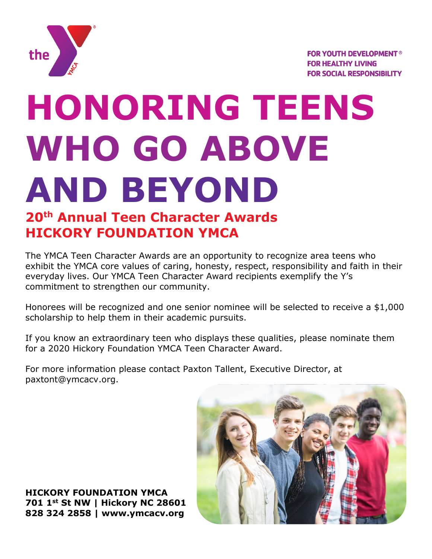

# **HONORING TEENS WHO GO ABOVE AND BEYOND**

## **20th Annual Teen Character Awards HICKORY FOUNDATION YMCA**

The YMCA Teen Character Awards are an opportunity to recognize area teens who exhibit the YMCA core values of caring, honesty, respect, responsibility and faith in their everyday lives. Our YMCA Teen Character Award recipients exemplify the Y's commitment to strengthen our community.

Honorees will be recognized and one senior nominee will be selected to receive a \$1,000 scholarship to help them in their academic pursuits.

If you know an extraordinary teen who displays these qualities, please nominate them for a 2020 Hickory Foundation YMCA Teen Character Award.

For more information please contact Paxton Tallent, Executive Director, at paxtont@ymcacv.org.

**HICKORY FOUNDATION YMCA 701 1st St NW | Hickory NC 28601 828 324 2858 | www.ymcacv.org**

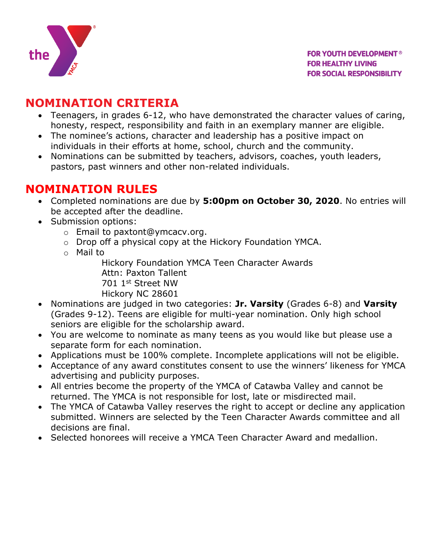

#### **NOMINATION CRITERIA**

- Teenagers, in grades 6-12, who have demonstrated the character values of caring, honesty, respect, responsibility and faith in an exemplary manner are eligible.
- The nominee's actions, character and leadership has a positive impact on individuals in their efforts at home, school, church and the community.
- Nominations can be submitted by teachers, advisors, coaches, youth leaders, pastors, past winners and other non-related individuals.

#### **NOMINATION RULES**

- Completed nominations are due by **5:00pm on October 30, 2020**. No entries will be accepted after the deadline.
- Submission options:
	- o Email to paxtont@ymcacv.org.
	- o Drop off a physical copy at the Hickory Foundation YMCA.
	- o Mail to

Hickory Foundation YMCA Teen Character Awards Attn: Paxton Tallent 701 1st Street NW Hickory NC 28601

- Nominations are judged in two categories: **Jr. Varsity** (Grades 6-8) and **Varsity** (Grades 9-12). Teens are eligible for multi-year nomination. Only high school seniors are eligible for the scholarship award.
- You are welcome to nominate as many teens as you would like but please use a separate form for each nomination.
- Applications must be 100% complete. Incomplete applications will not be eligible.
- Acceptance of any award constitutes consent to use the winners' likeness for YMCA advertising and publicity purposes.
- All entries become the property of the YMCA of Catawba Valley and cannot be returned. The YMCA is not responsible for lost, late or misdirected mail.
- The YMCA of Catawba Valley reserves the right to accept or decline any application submitted. Winners are selected by the Teen Character Awards committee and all decisions are final.
- Selected honorees will receive a YMCA Teen Character Award and medallion.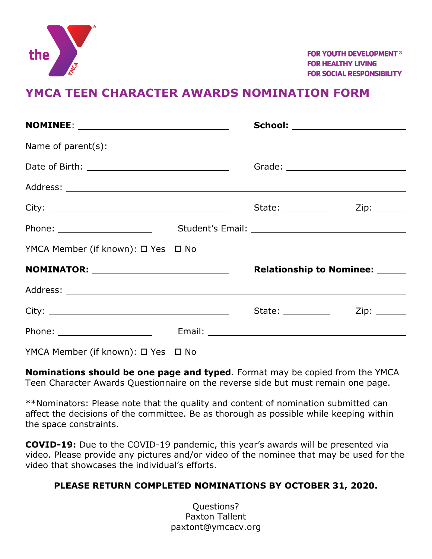

**FOR YOUTH DEVELOPMENT<sup>®</sup> FOR HEALTHY LIVING FOR SOCIAL RESPONSIBILITY** 

#### **YMCA TEEN CHARACTER AWARDS NOMINATION FORM**

|                                                |  | School: ________________________      |              |
|------------------------------------------------|--|---------------------------------------|--------------|
|                                                |  |                                       |              |
|                                                |  |                                       |              |
|                                                |  |                                       |              |
|                                                |  | State: ___________                    | Zip: _______ |
|                                                |  |                                       |              |
| YMCA Member (if known): □ Yes □ No             |  |                                       |              |
| <b>NOMINATOR:</b> ____________________________ |  | <b>Relationship to Nominee:</b> _____ |              |
|                                                |  |                                       |              |
|                                                |  |                                       |              |
|                                                |  |                                       |              |
|                                                |  |                                       |              |

YMCA Member (if known): □ Yes □ No

**Nominations should be one page and typed**. Format may be copied from the YMCA Teen Character Awards Questionnaire on the reverse side but must remain one page.

\*\*Nominators: Please note that the quality and content of nomination submitted can affect the decisions of the committee. Be as thorough as possible while keeping within the space constraints.

**COVID-19:** Due to the COVID-19 pandemic, this year's awards will be presented via video. Please provide any pictures and/or video of the nominee that may be used for the video that showcases the individual's efforts.

#### **PLEASE RETURN COMPLETED NOMINATIONS BY OCTOBER 31, 2020.**

Questions? Paxton Tallent paxtont@ymcacv.org